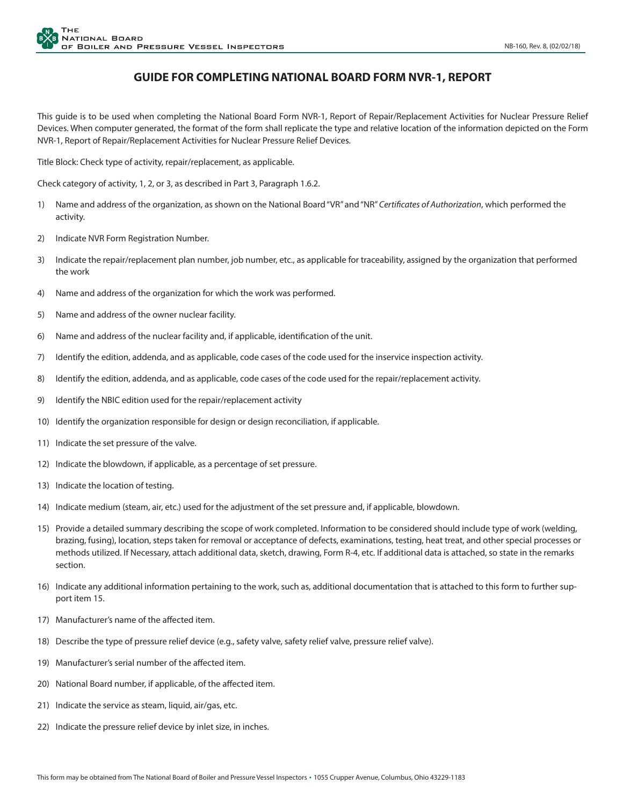## **GUIDE FOR COMPLETING NATIONAL BOARD FORM NVR-1, REPORT**

This guide is to be used when completing the National Board Form NVR-1, Report of Repair/Replacement Activities for Nuclear Pressure Relief Devices. When computer generated, the format of the form shall replicate the type and relative location of the information depicted on the Form NVR-1, Report of Repair/Replacement Activities for Nuclear Pressure Relief Devices.

Title Block: Check type of activity, repair/replacement, as applicable.

Check category of activity, 1, 2, or 3, as described in Part 3, Paragraph 1.6.2.

- 1) Name and address of the organization, as shown on the National Board "VR" and "NR" *Certificates of Authorization*, which performed the activity.
- 2) Indicate NVR Form Registration Number.
- 3) Indicate the repair/replacement plan number, job number, etc., as applicable for traceability, assigned by the organization that performed the work
- 4) Name and address of the organization for which the work was performed.
- 5) Name and address of the owner nuclear facility.
- 6) Name and address of the nuclear facility and, if applicable, identification of the unit.
- 7) Identify the edition, addenda, and as applicable, code cases of the code used for the inservice inspection activity.
- 8) Identify the edition, addenda, and as applicable, code cases of the code used for the repair/replacement activity.
- 9) Identify the NBIC edition used for the repair/replacement activity
- 10) Identify the organization responsible for design or design reconciliation, if applicable.
- 11) Indicate the set pressure of the valve.
- 12) Indicate the blowdown, if applicable, as a percentage of set pressure.
- 13) Indicate the location of testing.
- 14) Indicate medium (steam, air, etc.) used for the adjustment of the set pressure and, if applicable, blowdown.
- 15) Provide a detailed summary describing the scope of work completed. Information to be considered should include type of work (welding, brazing, fusing), location, steps taken for removal or acceptance of defects, examinations, testing, heat treat, and other special processes or methods utilized. If Necessary, attach additional data, sketch, drawing, Form R-4, etc. If additional data is attached, so state in the remarks section.
- 16) Indicate any additional information pertaining to the work, such as, additional documentation that is attached to this form to further support item 15.
- 17) Manufacturer's name of the affected item.
- 18) Describe the type of pressure relief device (e.g., safety valve, safety relief valve, pressure relief valve).
- 19) Manufacturer's serial number of the affected item.
- 20) National Board number, if applicable, of the affected item.
- 21) Indicate the service as steam, liquid, air/gas, etc.
- 22) Indicate the pressure relief device by inlet size, in inches.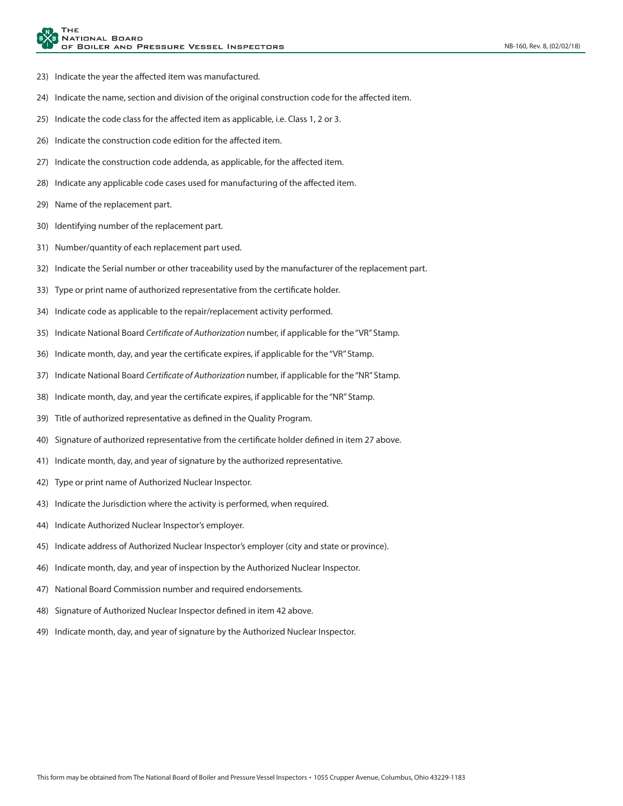- 23) Indicate the year the affected item was manufactured.
- 24) Indicate the name, section and division of the original construction code for the affected item.
- 25) Indicate the code class for the affected item as applicable, i.e. Class 1, 2 or 3.
- 26) Indicate the construction code edition for the affected item.
- 27) Indicate the construction code addenda, as applicable, for the affected item.
- 28) Indicate any applicable code cases used for manufacturing of the affected item.
- 29) Name of the replacement part.
- 30) Identifying number of the replacement part.
- 31) Number/quantity of each replacement part used.
- 32) Indicate the Serial number or other traceability used by the manufacturer of the replacement part.
- 33) Type or print name of authorized representative from the certificate holder.
- 34) Indicate code as applicable to the repair/replacement activity performed.
- 35) Indicate National Board *Certificate of Authorization* number, if applicable for the "VR" Stamp.
- 36) Indicate month, day, and year the certificate expires, if applicable for the "VR" Stamp.
- 37) Indicate National Board *Certificate of Authorization* number, if applicable for the "NR" Stamp.
- 38) Indicate month, day, and year the certificate expires, if applicable for the "NR" Stamp.
- 39) Title of authorized representative as defined in the Quality Program.
- 40) Signature of authorized representative from the certificate holder defined in item 27 above.
- 41) Indicate month, day, and year of signature by the authorized representative.
- 42) Type or print name of Authorized Nuclear Inspector.
- 43) Indicate the Jurisdiction where the activity is performed, when required.
- 44) Indicate Authorized Nuclear Inspector's employer.
- 45) Indicate address of Authorized Nuclear Inspector's employer (city and state or province).
- 46) Indicate month, day, and year of inspection by the Authorized Nuclear Inspector.
- 47) National Board Commission number and required endorsements*.*
- 48) Signature of Authorized Nuclear Inspector defined in item 42 above.
- 49) Indicate month, day, and year of signature by the Authorized Nuclear Inspector.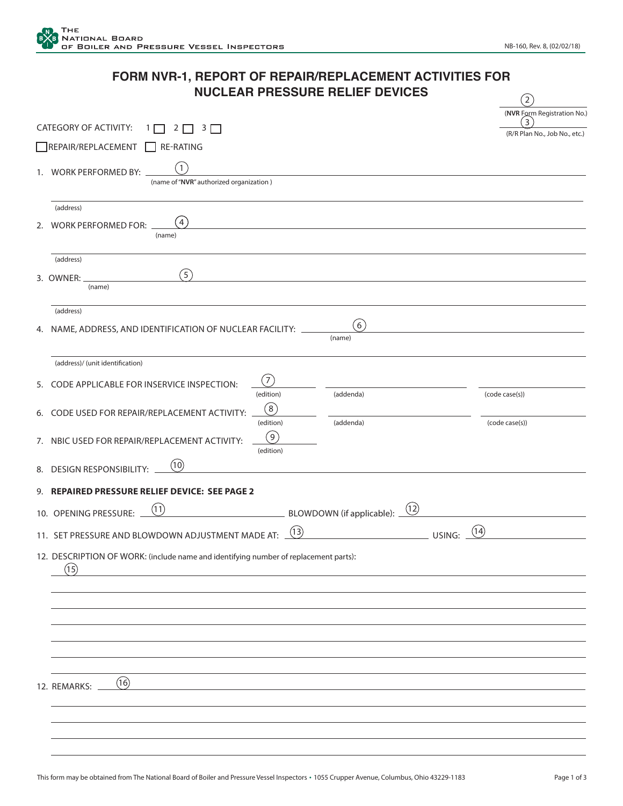| FORM NVR-1, REPORT OF REPAIR/REPLACEMENT ACTIVITIES FOR |  |
|---------------------------------------------------------|--|
| <b>NUCLEAR PRESSURE RELIEF DEVICES</b>                  |  |

|    | CATEGORY OF ACTIVITY:<br>2<br>3<br>REPAIR/REPLACEMENT<br><b>RE-RATING</b>                       |                               |                                   |        | (NVR Form Registration No.)<br>3<br>(R/R Plan No., Job No., etc.) |
|----|-------------------------------------------------------------------------------------------------|-------------------------------|-----------------------------------|--------|-------------------------------------------------------------------|
|    | $\mathbf{1}$<br>1. WORK PERFORMED BY:<br>(name of "NVR" authorized organization)                |                               |                                   |        |                                                                   |
| 2. | (address)<br>$\left( 4\right)$<br><b>WORK PERFORMED FOR:</b><br>(name)                          |                               |                                   |        |                                                                   |
|    | (address)<br>(5)<br>3. OWNER:<br>(name)                                                         |                               |                                   |        |                                                                   |
|    | (address)<br>4. NAME, ADDRESS, AND IDENTIFICATION OF NUCLEAR FACILITY:                          |                               | $\left(6\right)$<br>(name)        |        |                                                                   |
|    | (address)/ (unit identification)<br>5. CODE APPLICABLE FOR INSERVICE INSPECTION:                | 7                             |                                   |        |                                                                   |
| 6. | CODE USED FOR REPAIR/REPLACEMENT ACTIVITY:                                                      | (edition)<br>(8)<br>(edition) | (addenda)<br>(addenda)            |        | (code case(s))<br>(code case(s))                                  |
|    | 7. NBIC USED FOR REPAIR/REPLACEMENT ACTIVITY:<br>(10)<br>8. DESIGN RESPONSIBILITY:              | $\left(9\right)$<br>(edition) |                                   |        |                                                                   |
|    | 9. REPAIRED PRESSURE RELIEF DEVICE: SEE PAGE 2<br>(11)                                          |                               | (12)                              |        |                                                                   |
|    | 10. OPENING PRESSURE:<br>11. SET PRESSURE AND BLOWDOWN ADJUSTMENT MADE AT:                      |                               | BLOWDOWN (if applicable):<br>(13) | USING: | (14)                                                              |
|    | 12. DESCRIPTION OF WORK: (include name and identifying number of replacement parts):<br>$\circ$ |                               |                                   |        |                                                                   |
|    |                                                                                                 |                               |                                   |        |                                                                   |
|    |                                                                                                 |                               |                                   |        |                                                                   |
|    |                                                                                                 |                               |                                   |        |                                                                   |
|    | (16)<br>12. REMARKS:                                                                            |                               |                                   |        |                                                                   |
|    |                                                                                                 |                               |                                   |        |                                                                   |
|    |                                                                                                 |                               |                                   |        |                                                                   |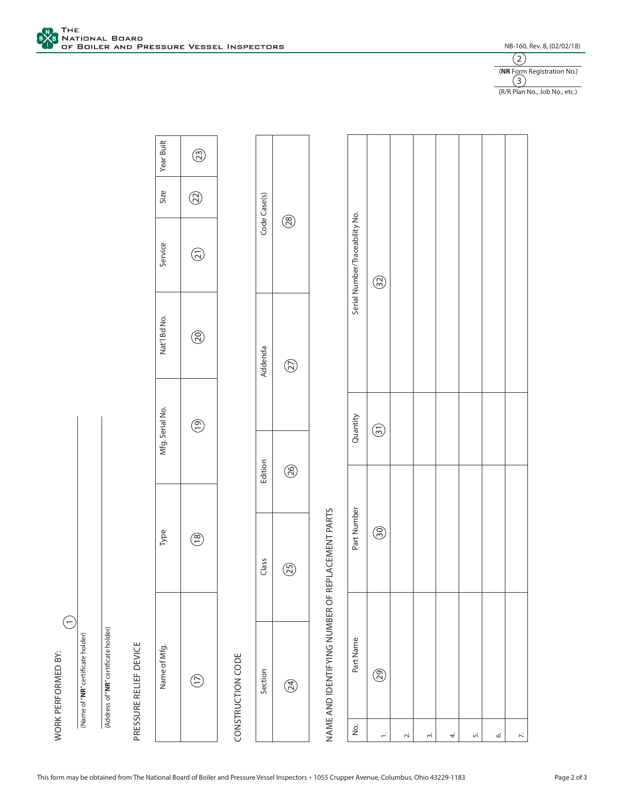



(R/R Plan No., Job No., etc.)

|                                       | $\widehat{\Xi}$<br>WORK PERFORMED BY:            |             |             |                 |              |                                |              |             |
|---------------------------------------|--------------------------------------------------|-------------|-------------|-----------------|--------------|--------------------------------|--------------|-------------|
|                                       | (Name of "NR" certificate holder)                |             |             |                 |              |                                |              |             |
|                                       | (Address of "NR" certificate holder)             |             |             |                 |              |                                |              |             |
|                                       | PRESSURE RELIEF DEVICE                           |             |             |                 |              |                                |              |             |
|                                       | Name of Mfg.                                     | Type        |             | Mfg. Serial No. | Nat'l Bd No. | Service                        | Size         | Year Built  |
|                                       | E                                                | $\circlede$ |             | $\circlede$     | $\circledS$  | $\bigodot$                     | $\circledR$  | $\circledS$ |
|                                       | CONSTRUCTION CODE                                |             |             |                 |              |                                |              |             |
|                                       | Section                                          | Class       | Edition     |                 | Addenda      |                                | Code Case(s) |             |
|                                       | E                                                | $\circledS$ | $\circledS$ |                 | $\circledS$  | $\circledS$                    |              |             |
|                                       | NAME AND IDENTIFYING NUMBER OF REPLACEMENT PARTS |             |             |                 |              |                                |              |             |
| $\frac{\dot{\mathsf{O}}}{\mathsf{D}}$ | Part Name                                        | Part Number |             | Quantity        |              | Serial Number/Traceability No. |              |             |
| $\div$                                | ඖ                                                | $\circledS$ |             | $\bigodot$      |              | $\circledS$                    |              |             |
| $\sim$                                |                                                  |             |             |                 |              |                                |              |             |
| m                                     |                                                  |             |             |                 |              |                                |              |             |
| 4.                                    |                                                  |             |             |                 |              |                                |              |             |
|                                       |                                                  |             |             |                 |              |                                |              |             |

5.

6.

7.